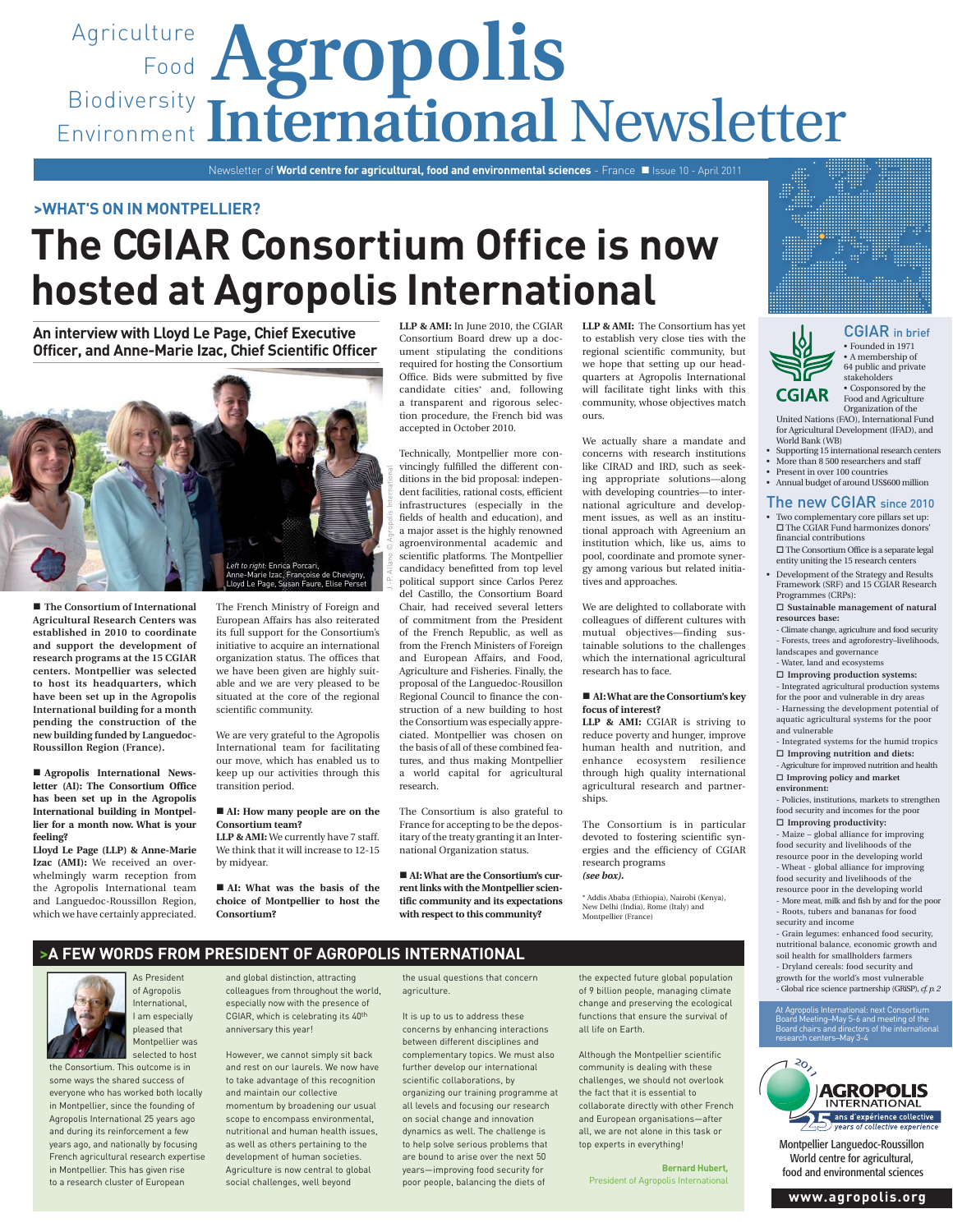## Agriculture **Agropolis** Food Biodiversity Environment International Newsletter

Newsletter of **World centre for agricultural, food and environmental sciences** - France Issue 10 - April 2011

#### **>WHAT'S ON IN MONTPELLIER?**

# **The CGIAR Consortium Office is now hosted at Agropolis International**

**An interview with Lloyd Le Page, Chief Executive Officer, and Anne-Marie Izac, Chief Scientific Officer**



■ The Consortium of International **Agricultural Research Centers was established in 2010 to coordinate and support the development of research programs at the 15 CGIAR centers. Montpellier was selected to host its headquarters, which have been set up in the Agropolis International building for a month pending the construction of the new building funded by Languedoc-Roussillon Region (France).**

 **Agropolis International Newsletter (AI): The Consortium Office has been set up in the Agropolis International building in Montpellier for a month now. What is your feeling?**

**Lloyd Le Page (LLP) & Anne-Marie Izac (AMI):** We received an overwhelmingly warm reception from the Agropolis International team and Languedoc-Roussillon Region, which we have certainly appreciated.

The French Ministry of Foreign and European Affairs has also reiterated its full support for the Consortium's initiative to acquire an international organization status. The offices that we have been given are highly suitable and we are very pleased to be situated at the core of the regional scientific community.

We are very grateful to the Agropolis International team for facilitating our move, which has enabled us to keep up our activities through this transition period.

#### ■ AI: How many people are on the **Consortium team?**

**LLP & AMI:** We currently have 7 staff. We think that it will increase to 12-15 by midyear.

 **AI: What was the basis of the choice of Montpellier to host the Consortium?**

**LLP & AMI:** In June 2010, the CGIAR Consortium Board drew up a document stipulating the conditions required for hosting the Consortium Office. Bids were submitted by five candidate cities\* and, following a transparent and rigorous selection procedure, the French bid was accepted in October 2010.

Technically, Montpellier more convincingly fulfilled the different conditions in the bid proposal: independent facilities, rational costs, efficient infrastructures (especially in the fields of health and education), and a major asset is the highly renowned agroenvironmental academic and scientific platforms. The Montpellier candidacy benefitted from top level political support since Carlos Perez del Castillo, the Consortium Board Chair, had received several letters of commitment from the President of the French Republic, as well as from the French Ministers of Foreign and European Affairs, and Food, Agriculture and Fisheries. Finally, the proposal of the Languedoc-Rousillon Regional Council to finance the construction of a new building to host the Consortium was especially appreciated. Montpellier was chosen on the basis of all of these combined features, and thus making Montpellier a world capital for agricultural research.

The Consortium is also grateful to France for accepting to be the depositary of the treaty granting it an International Organization status.

 **AI: What are the Consortium's current links with the Montpellier scientific community and its expectations with respect to this community?** 

**LLP & AMI:** The Consortium has yet to establish very close ties with the regional scientific community, but we hope that setting up our headquarters at Agropolis International will facilitate tight links with this community, whose objectives match ours.

We actually share a mandate and concerns with research institutions like CIRAD and IRD, such as seeking appropriate solutions—along with developing countries—to international agriculture and development issues, as well as an institutional approach with Agreenium an institution which, like us, aims to pool, coordinate and promote synergy among various but related initiatives and approaches.

We are delighted to collaborate with colleagues of different cultures with mutual objectives—finding sustainable solutions to the challenges which the international agricultural research has to face.

#### ■ **AI: What are the Consortium's key focus of interest?**

**LLP & AMI:** CGIAR is striving to reduce poverty and hunger, improve human health and nutrition, and enhance ecosystem resilience through high quality international agricultural research and partnerships.

The Consortium is in particular devoted to fostering scientific synergies and the efficiency of CGIAR research programs *(see box).*

\* Addis Ababa (Ethiopia), Nairobi (Kenya), New Delhi (India), Rome (Italy) and Montpellier (France)





CGIAR in brief • Founded in 1971 • A membership of 64 public and private stakeholders • Cosponsored by the Food and Agriculture

Organization of the United Nations (FAO), International Fund for Agricultural Development (IFAD), and World Bank (WB)

- Supporting 15 international research centers • More than 8 500 researchers and staff
- Present in over 100 countries

## • Annual budget of around US\$600 million

- The new CGIAR since 2010 • Two complementary core pillars set up:  $\square$  The CGIAR Fund harmonizes donors' financial contributions
- The Consortium Office is a separate legal entity uniting the 15 research centers • Development of the Strategy and Results
- Framework (SRF) and 15 CGIAR Research Programmes (CRPs): **Sustainable management of natural**

### **resources base:**

- Climate change, agriculture and food security - Forests, trees and agroforestry–livelihoods, landscapes and governance - Water, land and ecosystems

**Improving production systems:**

- Integrated agricultural production systems for the poor and vulnerable in dry areas - Harnessing the development potential of aquatic agricultural systems for the poor and vulnerable

- Integrated systems for the humid tropics **Improving nutrition and diets:** - Agriculture for improved nutrition and health **Improving policy and market** 

**environment:**

- Policies, institutions, markets to strengthen food security and incomes for the poor **Improving productivity:**

- Maize – global alliance for improving food security and livelihoods of the resource poor in the developing world - Wheat - global alliance for improving food security and livelihoods of the resource poor in the developing world - More meat, milk and fish by and for the poor

- Roots, tubers and bananas for food security and income - Grain legumes: enhanced food security,

nutritional balance, economic growth and soil health for smallholders farmers - Dryland cereals: food security and growth for the world's most vulnerable - Global rice science partnership (GRiSP), *cf. p. 2*

#### At Agropolis International: next Consortium Board Meeting–May 5-6 and meeting of the Board chairs and directors of the international research centers–May 3-4



Montpellier Languedoc-Roussillon World centre for agricultural, food and environmental sciences

**www.agropolis.org**

## **>A FEW WORDS FROM PRESIDENT OF AGROPOLIS INTERNATIONAL**



As President of Agropolis International, I am especially pleased that Montpellier w selected to host

the Consortium. This outcome is in some ways the shared success of everyone who has worked both locally in Montpellier, since the founding of Agropolis International 25 years ago and during its reinforcement a few years ago, and nationally by focusing French agricultural research expertise in Montpellier. This has given rise to a research cluster of European

and global distinction, attracting colleagues from throughout the world, especially now with the presence of CGIAR, which is celebrating its 40th anniversary this year!

However, we cannot simply sit back and rest on our laurels. We now have to take advantage of this recognition and maintain our collective

momentum by broadening our usual scope to encompass environmental, nutritional and human health issues, as well as others pertaining to the development of human societies. Agriculture is now central to global social challenges, well beyond

the usual questions that concern agriculture.

It is up to us to address these concerns by enhancing interactions between different disciplines and complementary topics. We must also further develop our international scientific collaborations, by organizing our training programme at all levels and focusing our research on social change and innovation dynamics as well. The challenge is to help solve serious problems that are bound to arise over the next 50 years—improving food security for poor people, balancing the diets of

the expected future global population of 9 billion people, managing climate change and preserving the ecological functions that ensure the survival of all life on Earth.

Although the Montpellier scientific community is dealing with these challenges, we should not overlook the fact that it is essential to collaborate directly with other French and European organisations—after all, we are not alone in this task or top experts in everything!

**Bernard Hubert,**  President of Agropolis International